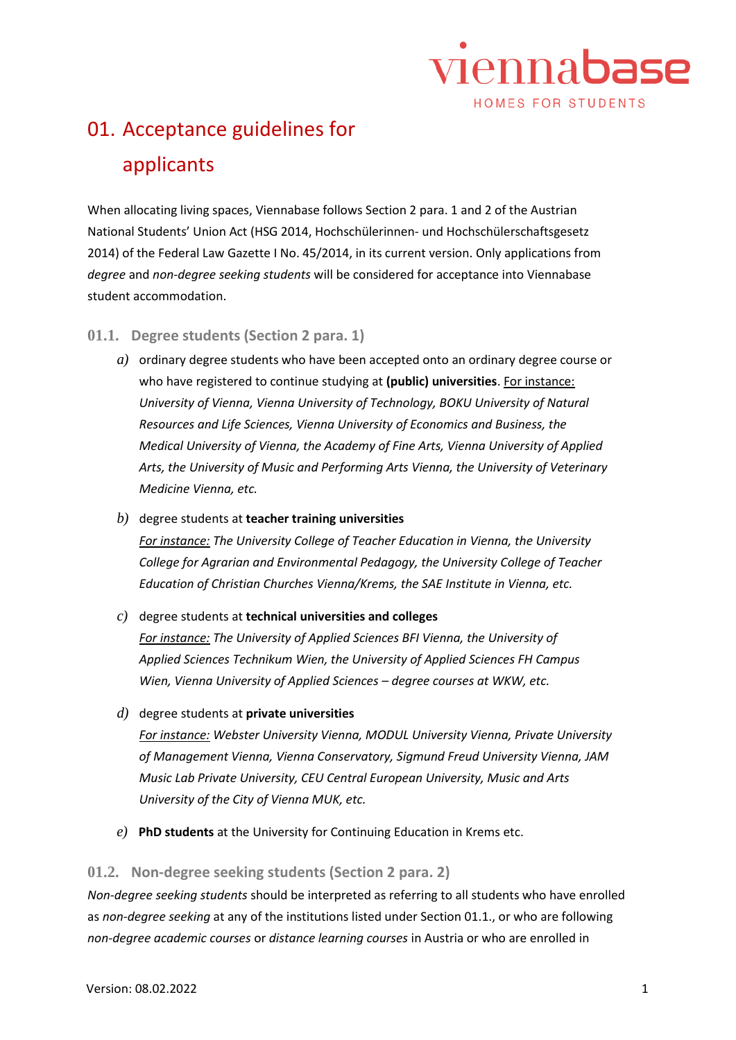

## 01. Acceptance guidelines for applicants

When allocating living spaces, Viennabase follows Section 2 para. 1 and 2 of the Austrian National Students' Union Act (HSG 2014, Hochschülerinnen- und Hochschülerschaftsgesetz 2014) of the Federal Law Gazette I No. 45/2014, in its current version. Only applications from *degree* and *non-degree seeking students* will be considered for acceptance into Viennabase student accommodation.

## **01.1. Degree students (Section 2 para. 1)**

- *a)* ordinary degree students who have been accepted onto an ordinary degree course or who have registered to continue studying at **(public) universities**. For instance: *University of Vienna, Vienna University of Technology, BOKU University of Natural Resources and Life Sciences, Vienna University of Economics and Business, the Medical University of Vienna, the Academy of Fine Arts, Vienna University of Applied Arts, the University of Music and Performing Arts Vienna, the University of Veterinary Medicine Vienna, etc.*
- *b)* degree students at **teacher training universities** *For instance: The University College of Teacher Education in Vienna, the University College for Agrarian and Environmental Pedagogy, the University College of Teacher Education of Christian Churches Vienna/Krems, the SAE Institute in Vienna, etc.*
- *c)* degree students at **technical universities and colleges**

*For instance: The University of Applied Sciences BFI Vienna, the University of Applied Sciences Technikum Wien, the University of Applied Sciences FH Campus Wien, Vienna University of Applied Sciences – degree courses at WKW, etc.*

*d)* degree students at **private universities**

*For instance: Webster University Vienna, MODUL University Vienna, Private University of Management Vienna, Vienna Conservatory, Sigmund Freud University Vienna, JAM Music Lab Private University, CEU Central European University, Music and Arts University of the City of Vienna MUK, etc.*

*e)* **PhD students** at the University for Continuing Education in Krems etc.

## **01.2. Non-degree seeking students (Section 2 para. 2)**

*Non-degree seeking students* should be interpreted as referring to all students who have enrolled as *non-degree seeking* at any of the institutions listed under Section 01.1., or who are following *non-degree academic courses* or *distance learning courses* in Austria or who are enrolled in